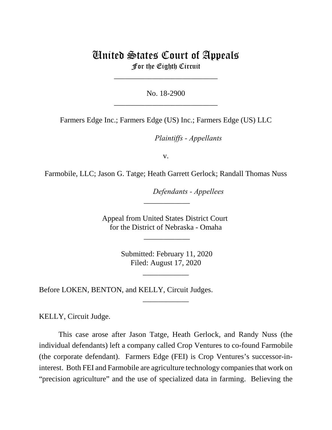# United States Court of Appeals For the Eighth Circuit

\_\_\_\_\_\_\_\_\_\_\_\_\_\_\_\_\_\_\_\_\_\_\_\_\_\_\_

No. 18-2900 \_\_\_\_\_\_\_\_\_\_\_\_\_\_\_\_\_\_\_\_\_\_\_\_\_\_\_

Farmers Edge Inc.; Farmers Edge (US) Inc.; Farmers Edge (US) LLC

*Plaintiffs - Appellants* 

v.

Farmobile, LLC; Jason G. Tatge; Heath Garrett Gerlock; Randall Thomas Nuss

lllllllllllllllllllll*Defendants - Appellees*

Appeal from United States District Court for the District of Nebraska - Omaha

 $\overline{\phantom{a}}$ 

\_\_\_\_\_\_\_\_\_\_\_\_

 Submitted: February 11, 2020 Filed: August 17, 2020

\_\_\_\_\_\_\_\_\_\_\_\_

\_\_\_\_\_\_\_\_\_\_\_\_

Before LOKEN, BENTON, and KELLY, Circuit Judges.

KELLY, Circuit Judge.

This case arose after Jason Tatge, Heath Gerlock, and Randy Nuss (the individual defendants) left a company called Crop Ventures to co-found Farmobile (the corporate defendant). Farmers Edge (FEI) is Crop Ventures's successor-ininterest. Both FEI and Farmobile are agriculture technology companies that work on "precision agriculture" and the use of specialized data in farming. Believing the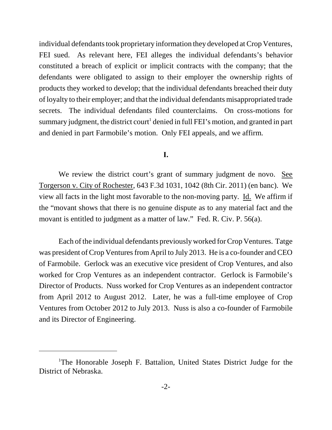individual defendants took proprietary information they developed at Crop Ventures, FEI sued. As relevant here, FEI alleges the individual defendants's behavior constituted a breach of explicit or implicit contracts with the company; that the defendants were obligated to assign to their employer the ownership rights of products they worked to develop; that the individual defendants breached their duty of loyalty to their employer; and that the individual defendants misappropriated trade secrets. The individual defendants filed counterclaims. On cross-motions for summary judgment, the district court $^1$  denied in full FEI's motion, and granted in part and denied in part Farmobile's motion. Only FEI appeals, and we affirm.

## **I.**

We review the district court's grant of summary judgment de novo. See Torgerson v. City of Rochester, 643 F.3d 1031, 1042 (8th Cir. 2011) (en banc). We view all facts in the light most favorable to the non-moving party. Id. We affirm if the "movant shows that there is no genuine dispute as to any material fact and the movant is entitled to judgment as a matter of law." Fed. R. Civ. P. 56(a).

Each of the individual defendants previously worked for Crop Ventures. Tatge was president of Crop Ventures from April to July 2013. He is a co-founder and CEO of Farmobile. Gerlock was an executive vice president of Crop Ventures, and also worked for Crop Ventures as an independent contractor. Gerlock is Farmobile's Director of Products. Nuss worked for Crop Ventures as an independent contractor from April 2012 to August 2012. Later, he was a full-time employee of Crop Ventures from October 2012 to July 2013. Nuss is also a co-founder of Farmobile and its Director of Engineering.

<sup>&</sup>lt;sup>1</sup>The Honorable Joseph F. Battalion, United States District Judge for the District of Nebraska.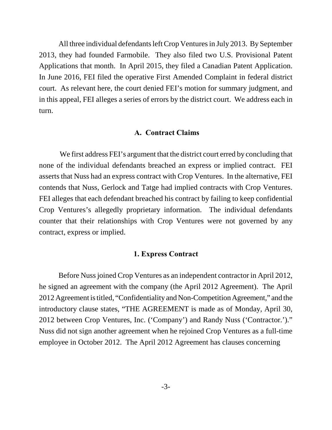All three individual defendants left Crop Ventures in July 2013. By September 2013, they had founded Farmobile. They also filed two U.S. Provisional Patent Applications that month. In April 2015, they filed a Canadian Patent Application. In June 2016, FEI filed the operative First Amended Complaint in federal district court. As relevant here, the court denied FEI's motion for summary judgment, and in this appeal, FEI alleges a series of errors by the district court. We address each in turn.

### **A. Contract Claims**

 We first address FEI's argument that the district court erred by concluding that none of the individual defendants breached an express or implied contract. FEI asserts that Nuss had an express contract with Crop Ventures. In the alternative, FEI contends that Nuss, Gerlock and Tatge had implied contracts with Crop Ventures. FEI alleges that each defendant breached his contract by failing to keep confidential Crop Ventures's allegedly proprietary information. The individual defendants counter that their relationships with Crop Ventures were not governed by any contract, express or implied.

#### **1. Express Contract**

Before Nuss joined Crop Ventures as an independent contractor in April 2012, he signed an agreement with the company (the April 2012 Agreement). The April 2012 Agreement is titled, "Confidentiality and Non-Competition Agreement," and the introductory clause states, "THE AGREEMENT is made as of Monday, April 30, 2012 between Crop Ventures, Inc. ('Company') and Randy Nuss ('Contractor.')." Nuss did not sign another agreement when he rejoined Crop Ventures as a full-time employee in October 2012. The April 2012 Agreement has clauses concerning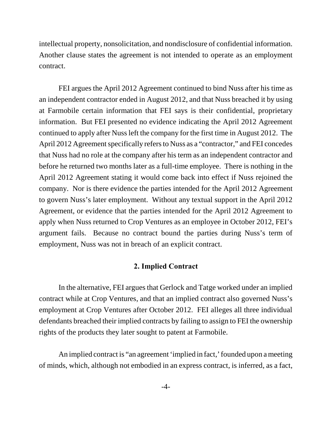intellectual property, nonsolicitation, and nondisclosure of confidential information. Another clause states the agreement is not intended to operate as an employment contract.

FEI argues the April 2012 Agreement continued to bind Nuss after his time as an independent contractor ended in August 2012, and that Nuss breached it by using at Farmobile certain information that FEI says is their confidential, proprietary information. But FEI presented no evidence indicating the April 2012 Agreement continued to apply after Nuss left the company for the first time in August 2012. The April 2012 Agreement specifically refers to Nuss as a "contractor," and FEI concedes that Nuss had no role at the company after his term as an independent contractor and before he returned two months later as a full-time employee. There is nothing in the April 2012 Agreement stating it would come back into effect if Nuss rejoined the company. Nor is there evidence the parties intended for the April 2012 Agreement to govern Nuss's later employment. Without any textual support in the April 2012 Agreement, or evidence that the parties intended for the April 2012 Agreement to apply when Nuss returned to Crop Ventures as an employee in October 2012, FEI's argument fails. Because no contract bound the parties during Nuss's term of employment, Nuss was not in breach of an explicit contract.

## **2. Implied Contract**

In the alternative, FEI argues that Gerlock and Tatge worked under an implied contract while at Crop Ventures, and that an implied contract also governed Nuss's employment at Crop Ventures after October 2012. FEI alleges all three individual defendants breached their implied contracts by failing to assign to FEI the ownership rights of the products they later sought to patent at Farmobile.

An implied contract is "an agreement 'implied in fact,' founded upon a meeting of minds, which, although not embodied in an express contract, is inferred, as a fact,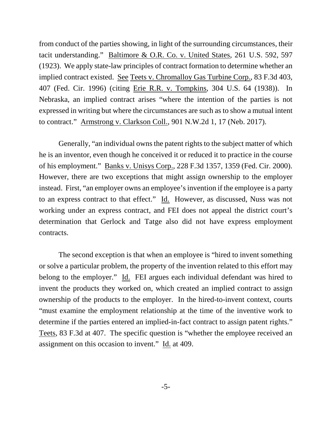from conduct of the parties showing, in light of the surrounding circumstances, their tacit understanding." Baltimore & O.R. Co. v. United States, 261 U.S. 592, 597 (1923). We apply state-law principles of contract formation to determine whether an implied contract existed. See Teets v. Chromalloy Gas Turbine Corp., 83 F.3d 403, 407 (Fed. Cir. 1996) (citing Erie R.R. v. Tompkins, 304 U.S. 64 (1938)). In Nebraska, an implied contract arises "where the intention of the parties is not expressed in writing but where the circumstances are such as to show a mutual intent to contract." Armstrong v. Clarkson Coll., 901 N.W.2d 1, 17 (Neb. 2017).

Generally, "an individual owns the patent rights to the subject matter of which he is an inventor, even though he conceived it or reduced it to practice in the course of his employment." Banks v. Unisys Corp., 228 F.3d 1357, 1359 (Fed. Cir. 2000). However, there are two exceptions that might assign ownership to the employer instead. First, "an employer owns an employee's invention if the employee is a party to an express contract to that effect." Id. However, as discussed, Nuss was not working under an express contract, and FEI does not appeal the district court's determination that Gerlock and Tatge also did not have express employment contracts.

The second exception is that when an employee is "hired to invent something or solve a particular problem, the property of the invention related to this effort may belong to the employer." Id. FEI argues each individual defendant was hired to invent the products they worked on, which created an implied contract to assign ownership of the products to the employer. In the hired-to-invent context, courts "must examine the employment relationship at the time of the inventive work to determine if the parties entered an implied-in-fact contract to assign patent rights." Teets, 83 F.3d at 407. The specific question is "whether the employee received an assignment on this occasion to invent." Id. at 409.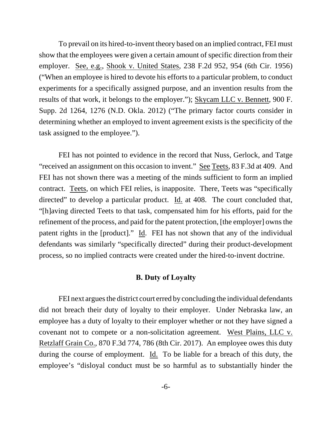To prevail on its hired-to-invent theory based on an implied contract, FEI must show that the employees were given a certain amount of specific direction from their employer. See, e.g., Shook v. United States, 238 F.2d 952, 954 (6th Cir. 1956) ("When an employee is hired to devote his efforts to a particular problem, to conduct experiments for a specifically assigned purpose, and an invention results from the results of that work, it belongs to the employer."); Skycam LLC v. Bennett, 900 F. Supp. 2d 1264, 1276 (N.D. Okla. 2012) ("The primary factor courts consider in determining whether an employed to invent agreement exists is the specificity of the task assigned to the employee.").

FEI has not pointed to evidence in the record that Nuss, Gerlock, and Tatge "received an assignment on this occasion to invent." See Teets, 83 F.3d at 409. And FEI has not shown there was a meeting of the minds sufficient to form an implied contract. Teets, on which FEI relies, is inapposite. There, Teets was "specifically directed" to develop a particular product. Id. at 408. The court concluded that, "[h]aving directed Teets to that task, compensated him for his efforts, paid for the refinement of the process, and paid for the patent protection, [the employer] owns the patent rights in the [product]." Id. FEI has not shown that any of the individual defendants was similarly "specifically directed" during their product-development process, so no implied contracts were created under the hired-to-invent doctrine.

#### **B. Duty of Loyalty**

FEI next argues the district court erred by concluding the individual defendants did not breach their duty of loyalty to their employer. Under Nebraska law, an employee has a duty of loyalty to their employer whether or not they have signed a covenant not to compete or a non-solicitation agreement. West Plains, LLC v. Retzlaff Grain Co., 870 F.3d 774, 786 (8th Cir. 2017). An employee owes this duty during the course of employment. Id. To be liable for a breach of this duty, the employee's "disloyal conduct must be so harmful as to substantially hinder the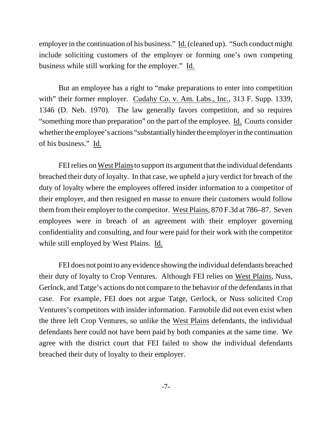employer in the continuation of his business." Id. (cleaned up). "Such conduct might include soliciting customers of the employer or forming one's own competing business while still working for the employer." Id.

But an employee has a right to "make preparations to enter into competition with" their former employer. Cudahy Co. v. Am. Labs., Inc., 313 F. Supp. 1339, 1346 (D. Neb. 1970). The law generally favors competition, and so requires "something more than preparation" on the part of the employee. Id. Courts consider whether the employee's actions "substantially hinder the employer in the continuation of his business." Id.

FEI relies on West Plains to support its argument that the individual defendants breached their duty of loyalty. In that case, we upheld a jury verdict for breach of the duty of loyalty where the employees offered insider information to a competitor of their employer, and then resigned en masse to ensure their customers would follow them from their employer to the competitor. West Plains, 870 F.3d at 786–87. Seven employees were in breach of an agreement with their employer governing confidentiality and consulting, and four were paid for their work with the competitor while still employed by West Plains. Id.

FEI does not point to any evidence showing the individual defendants breached their duty of loyalty to Crop Ventures. Although FEI relies on West Plains, Nuss, Gerlock, and Tatge's actions do not compare to the behavior of the defendants in that case. For example, FEI does not argue Tatge, Gerlock, or Nuss solicited Crop Ventures's competitors with insider information. Farmobile did not even exist when the three left Crop Ventures, so unlike the West Plains defendants, the individual defendants here could not have been paid by both companies at the same time. We agree with the district court that FEI failed to show the individual defendants breached their duty of loyalty to their employer.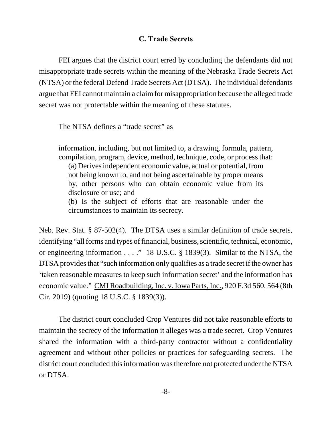## **C. Trade Secrets**

FEI argues that the district court erred by concluding the defendants did not misappropriate trade secrets within the meaning of the Nebraska Trade Secrets Act (NTSA) or the federal Defend Trade Secrets Act (DTSA). The individual defendants argue that FEI cannot maintain a claim for misappropriation because the alleged trade secret was not protectable within the meaning of these statutes.

The NTSA defines a "trade secret" as

information, including, but not limited to, a drawing, formula, pattern, compilation, program, device, method, technique, code, or process that: (a) Derives independent economic value, actual or potential, from not being known to, and not being ascertainable by proper means by, other persons who can obtain economic value from its disclosure or use; and

(b) Is the subject of efforts that are reasonable under the circumstances to maintain its secrecy.

Neb. Rev. Stat. § 87-502(4). The DTSA uses a similar definition of trade secrets, identifying "all forms and types of financial, business, scientific, technical, economic, or engineering information . . . ." 18 U.S.C. § 1839(3). Similar to the NTSA, the DTSA provides that "such information only qualifies as a trade secret if the owner has 'taken reasonable measures to keep such information secret' and the information has economic value." CMI Roadbuilding, Inc. v. Iowa Parts, Inc., 920 F.3d 560, 564 (8th Cir. 2019) (quoting 18 U.S.C. § 1839(3)).

The district court concluded Crop Ventures did not take reasonable efforts to maintain the secrecy of the information it alleges was a trade secret. Crop Ventures shared the information with a third-party contractor without a confidentiality agreement and without other policies or practices for safeguarding secrets. The district court concluded this information was therefore not protected under the NTSA or DTSA.